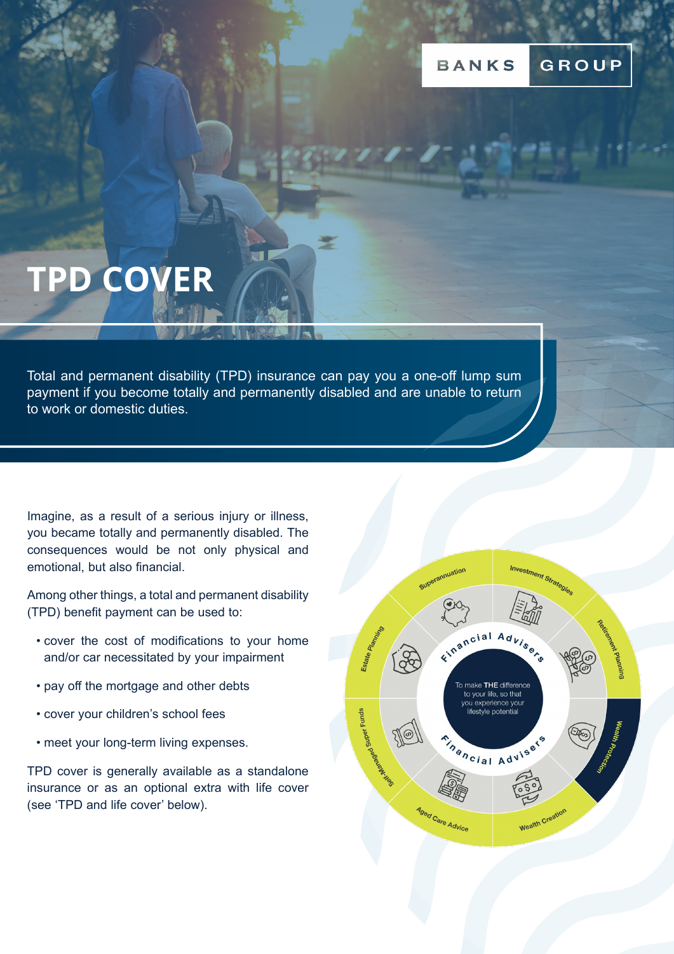# **TPD COVER**

Total and permanent disability (TPD) insurance can pay you a one-off lump sum payment if you become totally and permanently disabled and are unable to return to work or domestic duties.

Imagine, as a result of a serious injury or illness, you became totally and permanently disabled. The consequences would be not only physical and emotional, but also financial.

Among other things, a total and permanent disability (TPD) benefit payment can be used to:

- cover the cost of modifications to your home and/or car necessitated by your impairment
- pay off the mortgage and other debts
- cover your children's school fees
- meet your long-term living expenses.

TPD cover is generally available as a standalone insurance or as an optional extra with life cover (see 'TPD and life cover' below).

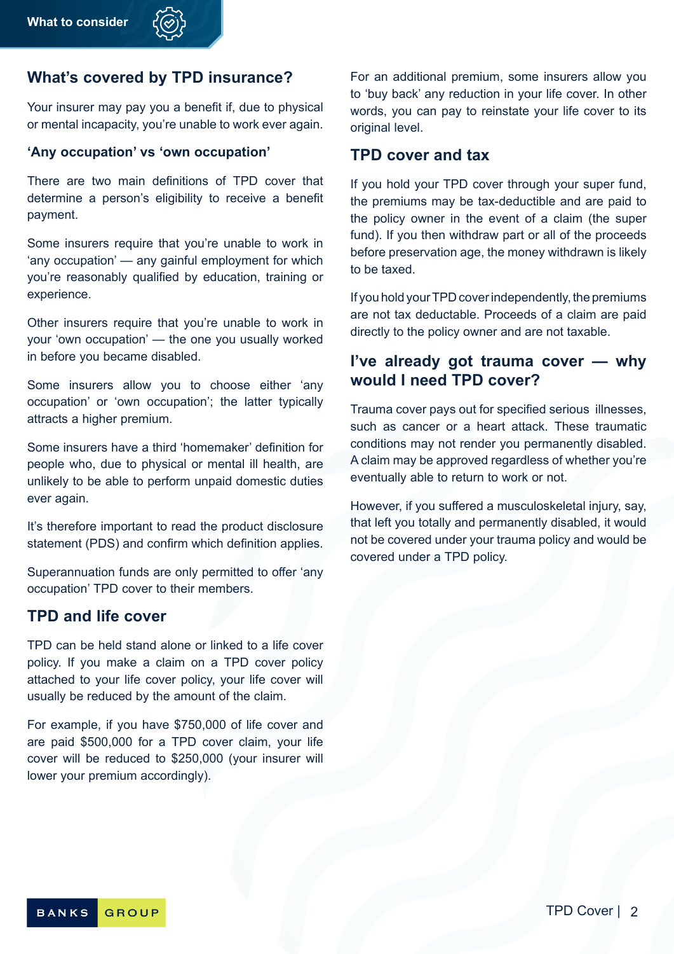## **What's covered by TPD insurance?**

Your insurer may pay you a benefit if, due to physical or mental incapacity, you're unable to work ever again.

#### **'Any occupation' vs 'own occupation'**

There are two main definitions of TPD cover that determine a person's eligibility to receive a benefit payment.

Some insurers require that you're unable to work in 'any occupation' — any gainful employment for which you're reasonably qualified by education, training or experience.

Other insurers require that you're unable to work in your 'own occupation' — the one you usually worked in before you became disabled.

Some insurers allow you to choose either 'any occupation' or 'own occupation'; the latter typically attracts a higher premium.

Some insurers have a third 'homemaker' definition for people who, due to physical or mental ill health, are unlikely to be able to perform unpaid domestic duties ever again.

It's therefore important to read the product disclosure statement (PDS) and confirm which definition applies.

Superannuation funds are only permitted to offer 'any occupation' TPD cover to their members.

### **TPD and life cover**

TPD can be held stand alone or linked to a life cover policy. If you make a claim on a TPD cover policy attached to your life cover policy, your life cover will usually be reduced by the amount of the claim.

For example, if you have \$750,000 of life cover and are paid \$500,000 for a TPD cover claim, your life cover will be reduced to \$250,000 (your insurer will lower your premium accordingly).

For an additional premium, some insurers allow you to 'buy back' any reduction in your life cover. In other words, you can pay to reinstate your life cover to its original level.

#### **TPD cover and tax**

If you hold your TPD cover through your super fund, the premiums may be tax-deductible and are paid to the policy owner in the event of a claim (the super fund). If you then withdraw part or all of the proceeds before preservation age, the money withdrawn is likely to be taxed.

If you hold your TPD cover independently, the premiums are not tax deductable. Proceeds of a claim are paid directly to the policy owner and are not taxable.

# **I've already got trauma cover — why would I need TPD cover?**

Trauma cover pays out for specified serious illnesses, such as cancer or a heart attack. These traumatic conditions may not render you permanently disabled. A claim may be approved regardless of whether you're eventually able to return to work or not.

However, if you suffered a musculoskeletal injury, say, that left you totally and permanently disabled, it would not be covered under your trauma policy and would be covered under a TPD policy.